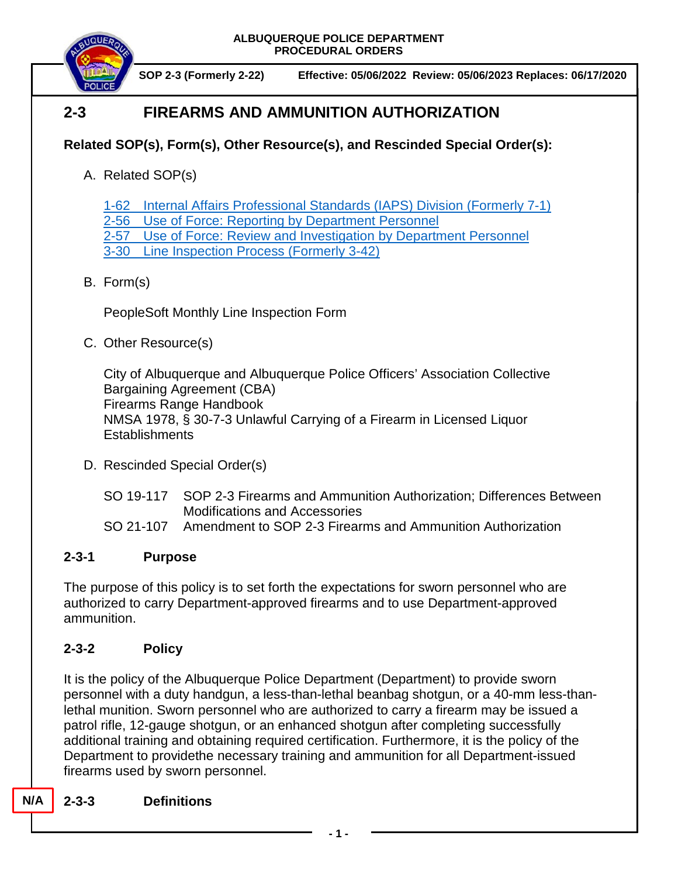

**SOP 2-3 (Formerly 2-22) Effective: 05/06/2022 Review: 05/06/2023 Replaces: 06/17/2020**

# **2-3 FIREARMS AND AMMUNITION AUTHORIZATION**

## **Related SOP(s), Form(s), Other Resource(s), and Rescinded Special Order(s):**

A. Related SOP(s)

1-62 [Internal Affairs Professional Standards \(IAPS\) Division \(Formerly 7-1\)](https://powerdms.com/docs/445?OB=)

2-56 Use of Force: [Reporting by Department Personnel](https://powerdms.com/docs/1897084?OB=)

2-57 Use of Force: [Review and Investigation by Department Personnel](https://powerdms.com/docs/1700599?OB=)

3-30 [Line Inspection Process](https://powerdms.com/docs/183?OB=) (Formerly 3-42)

## B. Form(s)

PeopleSoft Monthly Line Inspection Form

C. Other Resource(s)

City of Albuquerque and Albuquerque Police Officers' Association Collective Bargaining Agreement (CBA) Firearms Range Handbook NMSA 1978, § 30-7-3 Unlawful Carrying of a Firearm in Licensed Liquor **Establishments** 

- D. Rescinded Special Order(s)
	- SO 19-117 SOP 2-3 Firearms and Ammunition Authorization; Differences Between Modifications and Accessories
	- SO 21-107 Amendment to SOP 2-3 Firearms and Ammunition Authorization

## **2-3-1 Purpose**

The purpose of this policy is to set forth the expectations for sworn personnel who are authorized to carry Department-approved firearms and to use Department-approved ammunition.

## **2-3-2 Policy**

It is the policy of the Albuquerque Police Department (Department) to provide sworn personnel with a duty handgun, a less-than-lethal beanbag shotgun, or a 40-mm less-thanlethal munition. Sworn personnel who are authorized to carry a firearm may be issued a patrol rifle, 12-gauge shotgun, or an enhanced shotgun after completing successfully additional training and obtaining required certification. Furthermore, it is the policy of the Department to providethe necessary training and ammunition for all Department-issued firearms used by sworn personnel.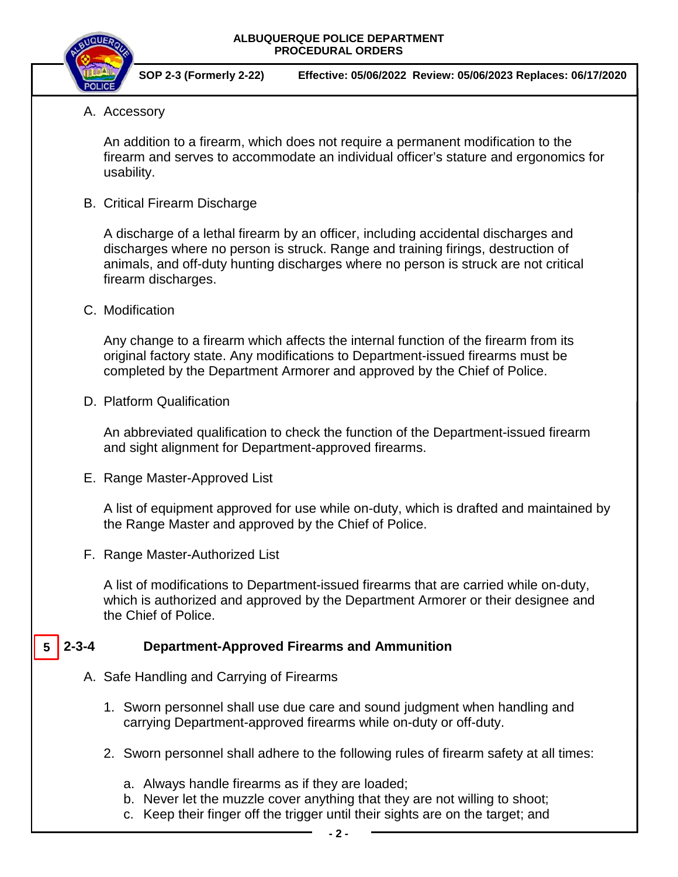

**SOP 2-3 (Formerly 2-22) Effective: 05/06/2022 Review: 05/06/2023 Replaces: 06/17/2020**

A. Accessory

An addition to a firearm, which does not require a permanent modification to the firearm and serves to accommodate an individual officer's stature and ergonomics for usability.

B. Critical Firearm Discharge

A discharge of a lethal firearm by an officer, including accidental discharges and discharges where no person is struck. Range and training firings, destruction of animals, and off-duty hunting discharges where no person is struck are not critical firearm discharges.

C. Modification

Any change to a firearm which affects the internal function of the firearm from its original factory state. Any modifications to Department-issued firearms must be completed by the Department Armorer and approved by the Chief of Police.

D. Platform Qualification

An abbreviated qualification to check the function of the Department-issued firearm and sight alignment for Department-approved firearms.

E. Range Master-Approved List

A list of equipment approved for use while on-duty, which is drafted and maintained by the Range Master and approved by the Chief of Police.

F. Range Master-Authorized List

A list of modifications to Department-issued firearms that are carried while on-duty, which is authorized and approved by the Department Armorer or their designee and the Chief of Police.

#### **2-3-4 Department-Approved Firearms and Ammunition 5**

- A. Safe Handling and Carrying of Firearms
	- 1. Sworn personnel shall use due care and sound judgment when handling and carrying Department-approved firearms while on-duty or off-duty.
	- 2. Sworn personnel shall adhere to the following rules of firearm safety at all times:
		- a. Always handle firearms as if they are loaded;
		- b. Never let the muzzle cover anything that they are not willing to shoot;
		- c. Keep their finger off the trigger until their sights are on the target; and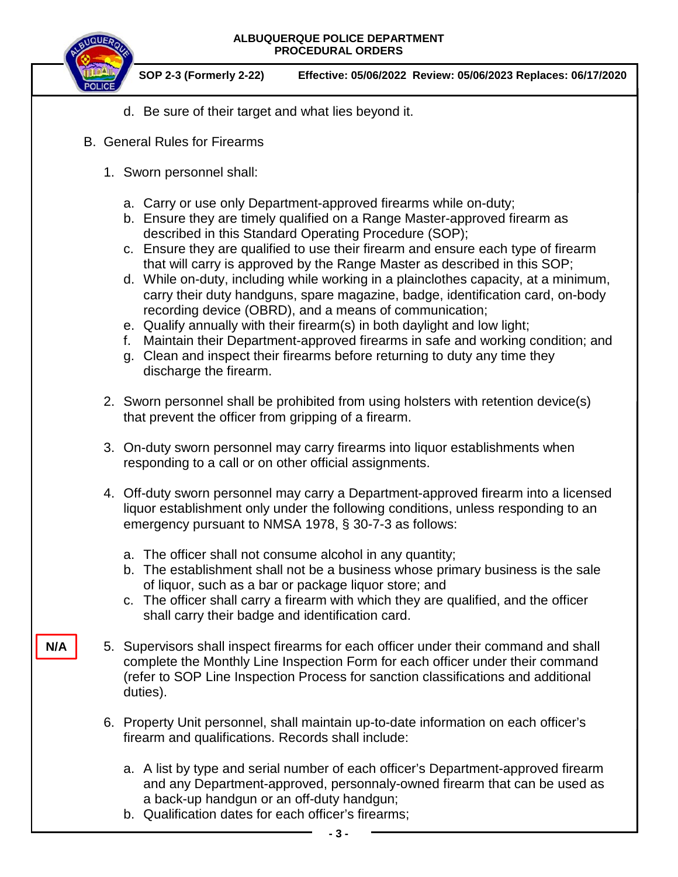

**N/A**

- d. Be sure of their target and what lies beyond it.
- B. General Rules for Firearms
	- 1. Sworn personnel shall:
		- a. Carry or use only Department-approved firearms while on-duty;
		- b. Ensure they are timely qualified on a Range Master-approved firearm as described in this Standard Operating Procedure (SOP);
		- c. Ensure they are qualified to use their firearm and ensure each type of firearm that will carry is approved by the Range Master as described in this SOP;
		- d. While on-duty, including while working in a plainclothes capacity, at a minimum, carry their duty handguns, spare magazine, badge, identification card, on-body recording device (OBRD), and a means of communication;
		- e. Qualify annually with their firearm(s) in both daylight and low light;
		- f. Maintain their Department-approved firearms in safe and working condition; and
		- g. Clean and inspect their firearms before returning to duty any time they discharge the firearm.
	- 2. Sworn personnel shall be prohibited from using holsters with retention device(s) that prevent the officer from gripping of a firearm.
	- 3. On-duty sworn personnel may carry firearms into liquor establishments when responding to a call or on other official assignments.
	- 4. Off-duty sworn personnel may carry a Department-approved firearm into a licensed liquor establishment only under the following conditions, unless responding to an emergency pursuant to NMSA 1978, § 30-7-3 as follows:
		- a. The officer shall not consume alcohol in any quantity;
		- b. The establishment shall not be a business whose primary business is the sale of liquor, such as a bar or package liquor store; and
		- c. The officer shall carry a firearm with which they are qualified, and the officer shall carry their badge and identification card.
	- 5. Supervisors shall inspect firearms for each officer under their command and shall complete the Monthly Line Inspection Form for each officer under their command (refer to SOP Line Inspection Process for sanction classifications and additional duties).
	- 6. Property Unit personnel, shall maintain up-to-date information on each officer's firearm and qualifications. Records shall include:
		- a. A list by type and serial number of each officer's Department-approved firearm and any Department-approved, personnaly-owned firearm that can be used as a back-up handgun or an off-duty handgun;
		- b. Qualification dates for each officer's firearms;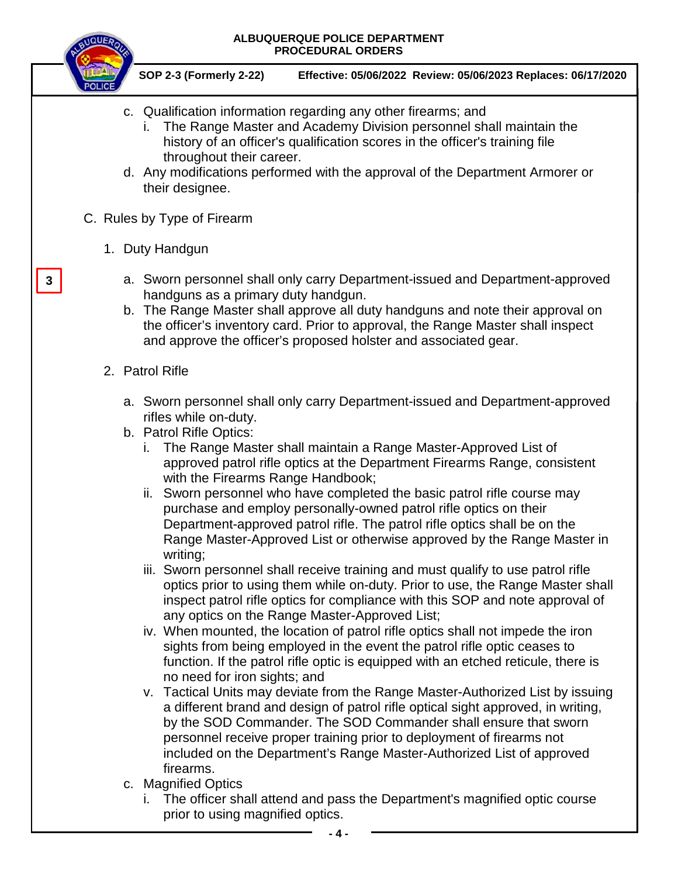

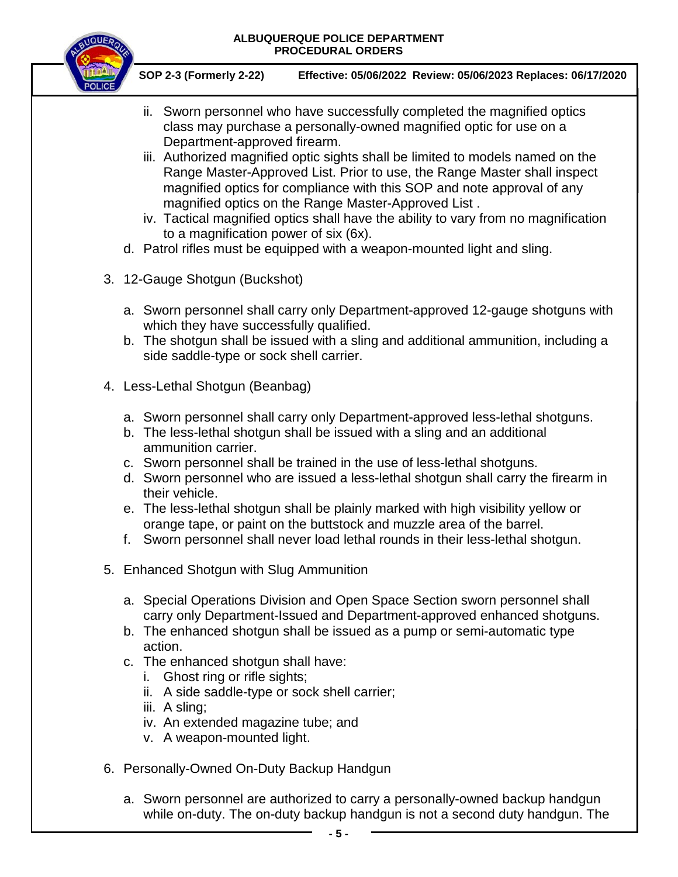

- ii. Sworn personnel who have successfully completed the magnified optics class may purchase a personally-owned magnified optic for use on a Department-approved firearm.
- iii. Authorized magnified optic sights shall be limited to models named on the Range Master-Approved List. Prior to use, the Range Master shall inspect magnified optics for compliance with this SOP and note approval of any magnified optics on the Range Master-Approved List .
- iv. Tactical magnified optics shall have the ability to vary from no magnification to a magnification power of six (6x).
- d. Patrol rifles must be equipped with a weapon-mounted light and sling.
- 3. 12-Gauge Shotgun (Buckshot)
	- a. Sworn personnel shall carry only Department-approved 12-gauge shotguns with which they have successfully qualified.
	- b. The shotgun shall be issued with a sling and additional ammunition, including a side saddle-type or sock shell carrier.
- 4. Less-Lethal Shotgun (Beanbag)
	- a. Sworn personnel shall carry only Department-approved less-lethal shotguns.
	- b. The less-lethal shotgun shall be issued with a sling and an additional ammunition carrier.
	- c. Sworn personnel shall be trained in the use of less-lethal shotguns.
	- d. Sworn personnel who are issued a less-lethal shotgun shall carry the firearm in their vehicle.
	- e. The less-lethal shotgun shall be plainly marked with high visibility yellow or orange tape, or paint on the buttstock and muzzle area of the barrel.
	- f. Sworn personnel shall never load lethal rounds in their less-lethal shotgun.
- 5. Enhanced Shotgun with Slug Ammunition
	- a. Special Operations Division and Open Space Section sworn personnel shall carry only Department-Issued and Department-approved enhanced shotguns.
	- b. The enhanced shotgun shall be issued as a pump or semi-automatic type action.
	- c. The enhanced shotgun shall have:
		- i. Ghost ring or rifle sights;
		- ii. A side saddle-type or sock shell carrier;
		- iii. A sling;
		- iv. An extended magazine tube; and
		- v. A weapon-mounted light.
- 6. Personally-Owned On-Duty Backup Handgun
	- a. Sworn personnel are authorized to carry a personally-owned backup handgun while on-duty. The on-duty backup handgun is not a second duty handgun. The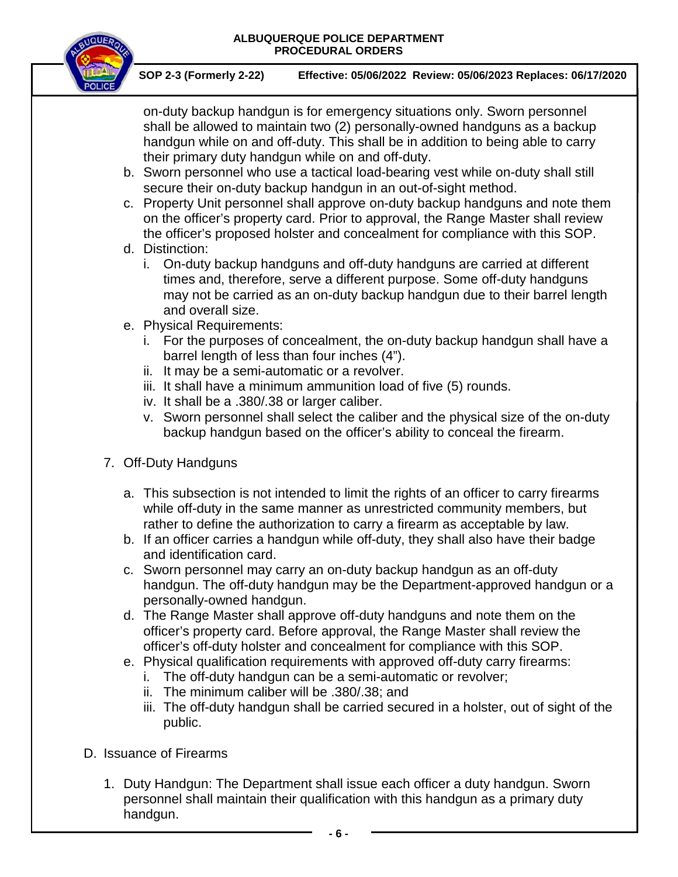

**SOP 2-3 (Formerly 2-22) Effective: 05/06/2022 Review: 05/06/2023 Replaces: 06/17/2020**

on-duty backup handgun is for emergency situations only. Sworn personnel shall be allowed to maintain two (2) personally-owned handguns as a backup handgun while on and off-duty. This shall be in addition to being able to carry their primary duty handgun while on and off-duty.

- b. Sworn personnel who use a tactical load-bearing vest while on-duty shall still secure their on-duty backup handgun in an out-of-sight method.
- c. Property Unit personnel shall approve on-duty backup handguns and note them on the officer's property card. Prior to approval, the Range Master shall review the officer's proposed holster and concealment for compliance with this SOP.
- d. Distinction:
	- i. On-duty backup handguns and off-duty handguns are carried at different times and, therefore, serve a different purpose. Some off-duty handguns may not be carried as an on-duty backup handgun due to their barrel length and overall size.
- e. Physical Requirements:
	- i. For the purposes of concealment, the on-duty backup handgun shall have a barrel length of less than four inches (4").
	- ii. It may be a semi-automatic or a revolver.
	- iii. It shall have a minimum ammunition load of five (5) rounds.
	- iv. It shall be a .380/.38 or larger caliber.
	- v. Sworn personnel shall select the caliber and the physical size of the on-duty backup handgun based on the officer's ability to conceal the firearm.
- 7. Off-Duty Handguns
	- a. This subsection is not intended to limit the rights of an officer to carry firearms while off-duty in the same manner as unrestricted community members, but rather to define the authorization to carry a firearm as acceptable by law.
	- b. If an officer carries a handgun while off-duty, they shall also have their badge and identification card.
	- c. Sworn personnel may carry an on-duty backup handgun as an off-duty handgun. The off-duty handgun may be the Department-approved handgun or a personally-owned handgun.
	- d. The Range Master shall approve off-duty handguns and note them on the officer's property card. Before approval, the Range Master shall review the officer's off-duty holster and concealment for compliance with this SOP.
	- e. Physical qualification requirements with approved off-duty carry firearms:
		- i. The off-duty handgun can be a semi-automatic or revolver;
		- ii. The minimum caliber will be .380/.38; and
		- iii. The off-duty handgun shall be carried secured in a holster, out of sight of the public.
- D. Issuance of Firearms
	- 1. Duty Handgun: The Department shall issue each officer a duty handgun. Sworn personnel shall maintain their qualification with this handgun as a primary duty handgun.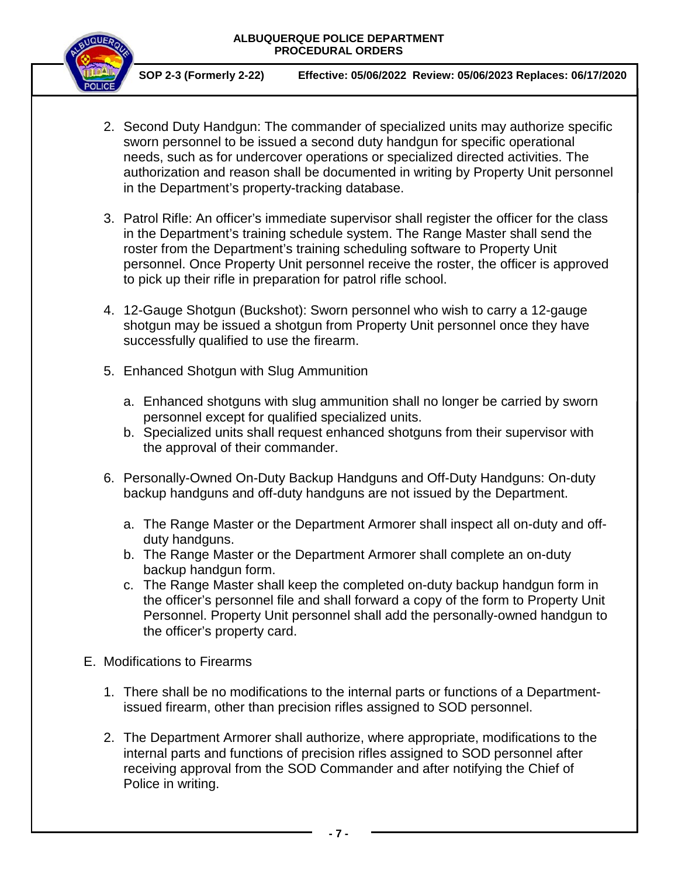

- 2. Second Duty Handgun: The commander of specialized units may authorize specific sworn personnel to be issued a second duty handgun for specific operational needs, such as for undercover operations or specialized directed activities. The authorization and reason shall be documented in writing by Property Unit personnel in the Department's property-tracking database.
- 3. Patrol Rifle: An officer's immediate supervisor shall register the officer for the class in the Department's training schedule system. The Range Master shall send the roster from the Department's training scheduling software to Property Unit personnel. Once Property Unit personnel receive the roster, the officer is approved to pick up their rifle in preparation for patrol rifle school.
- 4. 12-Gauge Shotgun (Buckshot): Sworn personnel who wish to carry a 12-gauge shotgun may be issued a shotgun from Property Unit personnel once they have successfully qualified to use the firearm.
- 5. Enhanced Shotgun with Slug Ammunition
	- a. Enhanced shotguns with slug ammunition shall no longer be carried by sworn personnel except for qualified specialized units.
	- b. Specialized units shall request enhanced shotguns from their supervisor with the approval of their commander.
- 6. Personally-Owned On-Duty Backup Handguns and Off-Duty Handguns: On-duty backup handguns and off-duty handguns are not issued by the Department.
	- a. The Range Master or the Department Armorer shall inspect all on-duty and offduty handguns.
	- b. The Range Master or the Department Armorer shall complete an on-duty backup handgun form.
	- c. The Range Master shall keep the completed on-duty backup handgun form in the officer's personnel file and shall forward a copy of the form to Property Unit Personnel. Property Unit personnel shall add the personally-owned handgun to the officer's property card.
- E. Modifications to Firearms
	- 1. There shall be no modifications to the internal parts or functions of a Departmentissued firearm, other than precision rifles assigned to SOD personnel.
	- 2. The Department Armorer shall authorize, where appropriate, modifications to the internal parts and functions of precision rifles assigned to SOD personnel after receiving approval from the SOD Commander and after notifying the Chief of Police in writing.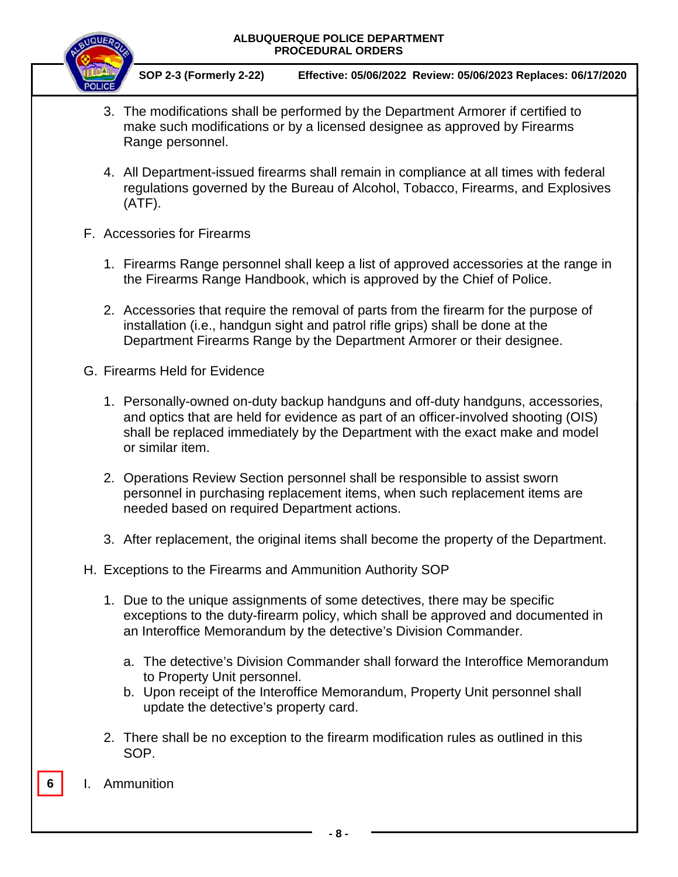

- 3. The modifications shall be performed by the Department Armorer if certified to make such modifications or by a licensed designee as approved by Firearms Range personnel.
- 4. All Department-issued firearms shall remain in compliance at all times with federal regulations governed by the Bureau of Alcohol, Tobacco, Firearms, and Explosives (ATF).
- F. Accessories for Firearms
	- 1. Firearms Range personnel shall keep a list of approved accessories at the range in the Firearms Range Handbook, which is approved by the Chief of Police.
	- 2. Accessories that require the removal of parts from the firearm for the purpose of installation (i.e., handgun sight and patrol rifle grips) shall be done at the Department Firearms Range by the Department Armorer or their designee.
- G. Firearms Held for Evidence
	- 1. Personally-owned on-duty backup handguns and off-duty handguns, accessories, and optics that are held for evidence as part of an officer-involved shooting (OIS) shall be replaced immediately by the Department with the exact make and model or similar item.
	- 2. Operations Review Section personnel shall be responsible to assist sworn personnel in purchasing replacement items, when such replacement items are needed based on required Department actions.
	- 3. After replacement, the original items shall become the property of the Department.
- H. Exceptions to the Firearms and Ammunition Authority SOP
	- 1. Due to the unique assignments of some detectives, there may be specific exceptions to the duty-firearm policy, which shall be approved and documented in an Interoffice Memorandum by the detective's Division Commander.
		- a. The detective's Division Commander shall forward the Interoffice Memorandum to Property Unit personnel.
		- b. Upon receipt of the Interoffice Memorandum, Property Unit personnel shall update the detective's property card.
	- 2. There shall be no exception to the firearm modification rules as outlined in this SOP.
- **6** I. Ammunition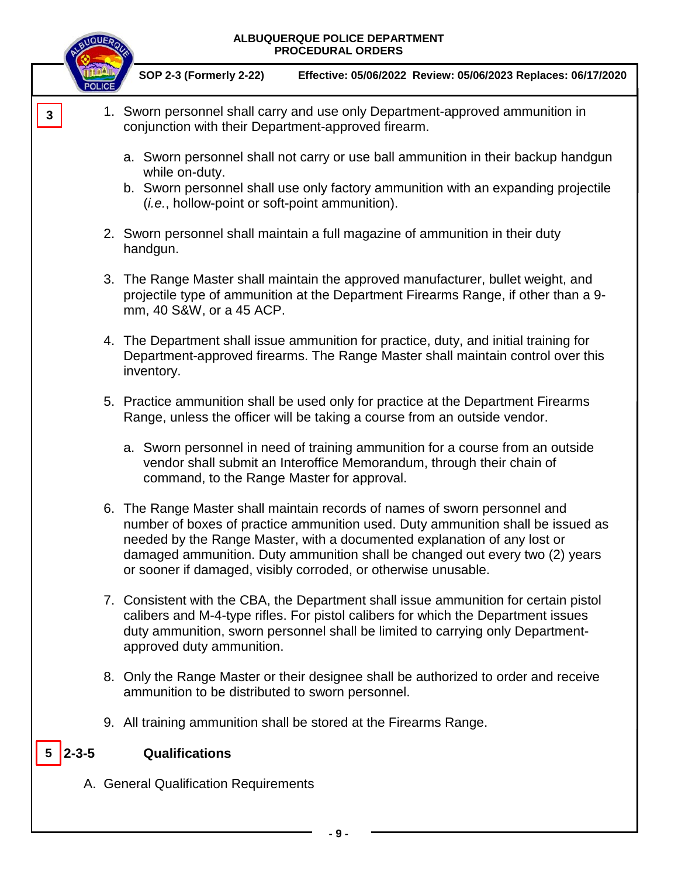

**<sup>-</sup> 9 -**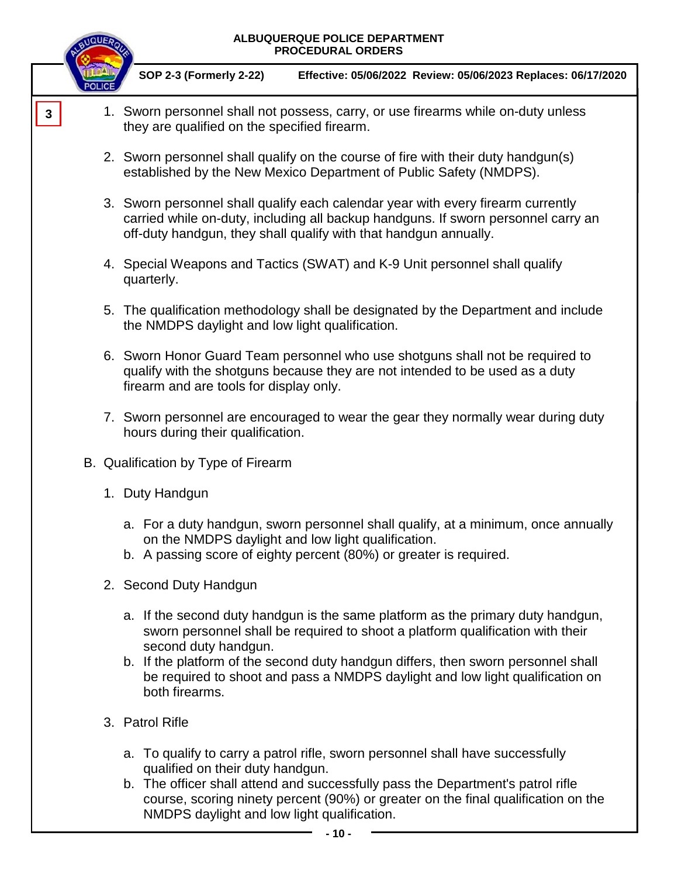|   | <b>INQUEA</b> | ALBUQUERQUE POLICE DEPARTMENT<br><b>PROCEDURAL ORDERS</b>                                                                                                                                                                                 |
|---|---------------|-------------------------------------------------------------------------------------------------------------------------------------------------------------------------------------------------------------------------------------------|
|   |               | <b>SOP 2-3 (Formerly 2-22)</b><br>Effective: 05/06/2022 Review: 05/06/2023 Replaces: 06/17/2020                                                                                                                                           |
| 3 |               | 1. Sworn personnel shall not possess, carry, or use firearms while on-duty unless<br>they are qualified on the specified firearm.                                                                                                         |
|   |               | 2. Sworn personnel shall qualify on the course of fire with their duty handgun(s)<br>established by the New Mexico Department of Public Safety (NMDPS).                                                                                   |
|   |               | 3. Sworn personnel shall qualify each calendar year with every firearm currently<br>carried while on-duty, including all backup handguns. If sworn personnel carry an<br>off-duty handgun, they shall qualify with that handgun annually. |
|   |               | 4. Special Weapons and Tactics (SWAT) and K-9 Unit personnel shall qualify<br>quarterly.                                                                                                                                                  |
|   |               | 5. The qualification methodology shall be designated by the Department and include<br>the NMDPS daylight and low light qualification.                                                                                                     |
|   |               | 6. Sworn Honor Guard Team personnel who use shotguns shall not be required to<br>qualify with the shotguns because they are not intended to be used as a duty<br>firearm and are tools for display only.                                  |
|   |               | 7. Sworn personnel are encouraged to wear the gear they normally wear during duty<br>hours during their qualification.                                                                                                                    |
|   |               | B. Qualification by Type of Firearm                                                                                                                                                                                                       |
|   |               | 1. Duty Handgun                                                                                                                                                                                                                           |
|   |               | a. For a duty handgun, sworn personnel shall qualify, at a minimum, once annually<br>on the NMDPS daylight and low light qualification.<br>b. A passing score of eighty percent (80%) or greater is required.                             |
|   |               | 2. Second Duty Handgun                                                                                                                                                                                                                    |
|   |               | a. If the second duty handgun is the same platform as the primary duty handgun,<br>sworn personnel shall be required to shoot a platform qualification with their<br>second duty handgun.                                                 |
|   |               | b. If the platform of the second duty handgun differs, then sworn personnel shall<br>be required to shoot and pass a NMDPS daylight and low light qualification on<br>both firearms.                                                      |
|   |               | 3. Patrol Rifle                                                                                                                                                                                                                           |
|   |               | a. To qualify to carry a patrol rifle, sworn personnel shall have successfully<br>qualified on their duty handgun.                                                                                                                        |
|   |               | b. The officer shall attend and successfully pass the Department's patrol rifle<br>course, scoring ninety percent (90%) or greater on the final qualification on the<br>NMDPS daylight and low light qualification.                       |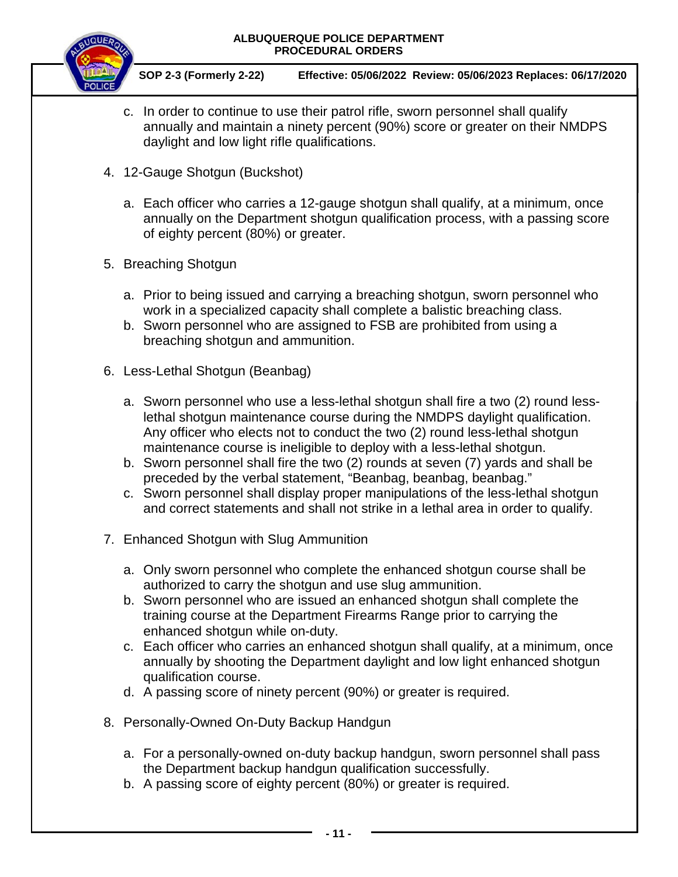![](_page_10_Picture_1.jpeg)

- c. In order to continue to use their patrol rifle, sworn personnel shall qualify annually and maintain a ninety percent (90%) score or greater on their NMDPS daylight and low light rifle qualifications.
- 4. 12-Gauge Shotgun (Buckshot)
	- a. Each officer who carries a 12-gauge shotgun shall qualify, at a minimum, once annually on the Department shotgun qualification process, with a passing score of eighty percent (80%) or greater.
- 5. Breaching Shotgun
	- a. Prior to being issued and carrying a breaching shotgun, sworn personnel who work in a specialized capacity shall complete a balistic breaching class.
	- b. Sworn personnel who are assigned to FSB are prohibited from using a breaching shotgun and ammunition.
- 6. Less-Lethal Shotgun (Beanbag)
	- a. Sworn personnel who use a less-lethal shotgun shall fire a two (2) round lesslethal shotgun maintenance course during the NMDPS daylight qualification. Any officer who elects not to conduct the two (2) round less-lethal shotgun maintenance course is ineligible to deploy with a less-lethal shotgun.
	- b. Sworn personnel shall fire the two (2) rounds at seven (7) yards and shall be preceded by the verbal statement, "Beanbag, beanbag, beanbag."
	- c. Sworn personnel shall display proper manipulations of the less-lethal shotgun and correct statements and shall not strike in a lethal area in order to qualify.
- 7. Enhanced Shotgun with Slug Ammunition
	- a. Only sworn personnel who complete the enhanced shotgun course shall be authorized to carry the shotgun and use slug ammunition.
	- b. Sworn personnel who are issued an enhanced shotgun shall complete the training course at the Department Firearms Range prior to carrying the enhanced shotgun while on-duty.
	- c. Each officer who carries an enhanced shotgun shall qualify, at a minimum, once annually by shooting the Department daylight and low light enhanced shotgun qualification course.
	- d. A passing score of ninety percent (90%) or greater is required.
- 8. Personally-Owned On-Duty Backup Handgun
	- a. For a personally-owned on-duty backup handgun, sworn personnel shall pass the Department backup handgun qualification successfully.
	- b. A passing score of eighty percent (80%) or greater is required.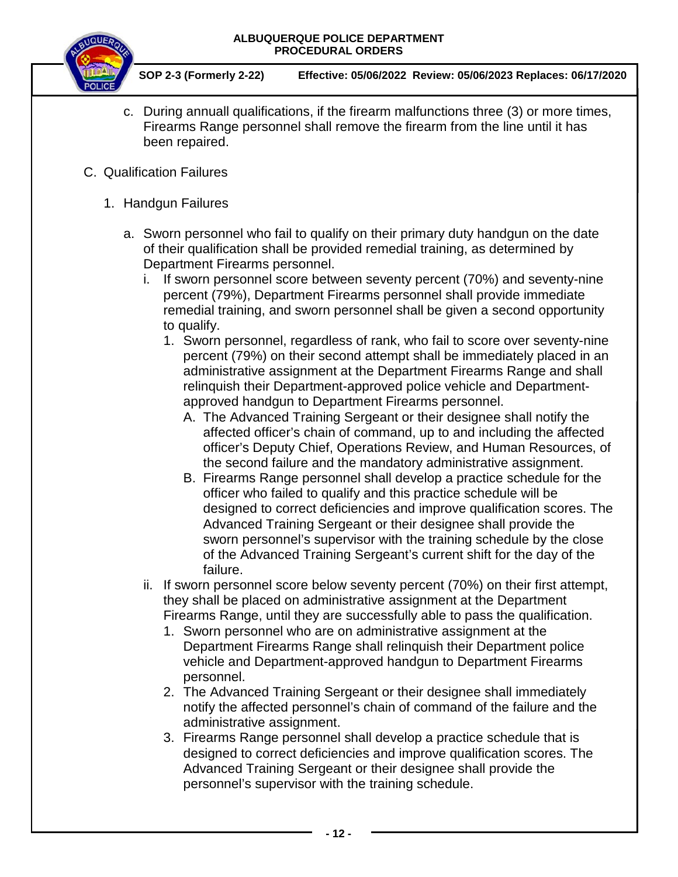![](_page_11_Picture_1.jpeg)

- c. During annuall qualifications, if the firearm malfunctions three (3) or more times, Firearms Range personnel shall remove the firearm from the line until it has been repaired.
- C. Qualification Failures
	- 1. Handgun Failures
		- a. Sworn personnel who fail to qualify on their primary duty handgun on the date of their qualification shall be provided remedial training, as determined by Department Firearms personnel.
			- i. If sworn personnel score between seventy percent (70%) and seventy-nine percent (79%), Department Firearms personnel shall provide immediate remedial training, and sworn personnel shall be given a second opportunity to qualify.
				- 1. Sworn personnel, regardless of rank, who fail to score over seventy-nine percent (79%) on their second attempt shall be immediately placed in an administrative assignment at the Department Firearms Range and shall relinquish their Department-approved police vehicle and Departmentapproved handgun to Department Firearms personnel.
					- A. The Advanced Training Sergeant or their designee shall notify the affected officer's chain of command, up to and including the affected officer's Deputy Chief, Operations Review, and Human Resources, of the second failure and the mandatory administrative assignment.
					- B. Firearms Range personnel shall develop a practice schedule for the officer who failed to qualify and this practice schedule will be designed to correct deficiencies and improve qualification scores. The Advanced Training Sergeant or their designee shall provide the sworn personnel's supervisor with the training schedule by the close of the Advanced Training Sergeant's current shift for the day of the failure.
			- ii. If sworn personnel score below seventy percent (70%) on their first attempt, they shall be placed on administrative assignment at the Department Firearms Range, until they are successfully able to pass the qualification.
				- 1. Sworn personnel who are on administrative assignment at the Department Firearms Range shall relinquish their Department police vehicle and Department-approved handgun to Department Firearms personnel.
				- 2. The Advanced Training Sergeant or their designee shall immediately notify the affected personnel's chain of command of the failure and the administrative assignment.
				- 3. Firearms Range personnel shall develop a practice schedule that is designed to correct deficiencies and improve qualification scores. The Advanced Training Sergeant or their designee shall provide the personnel's supervisor with the training schedule.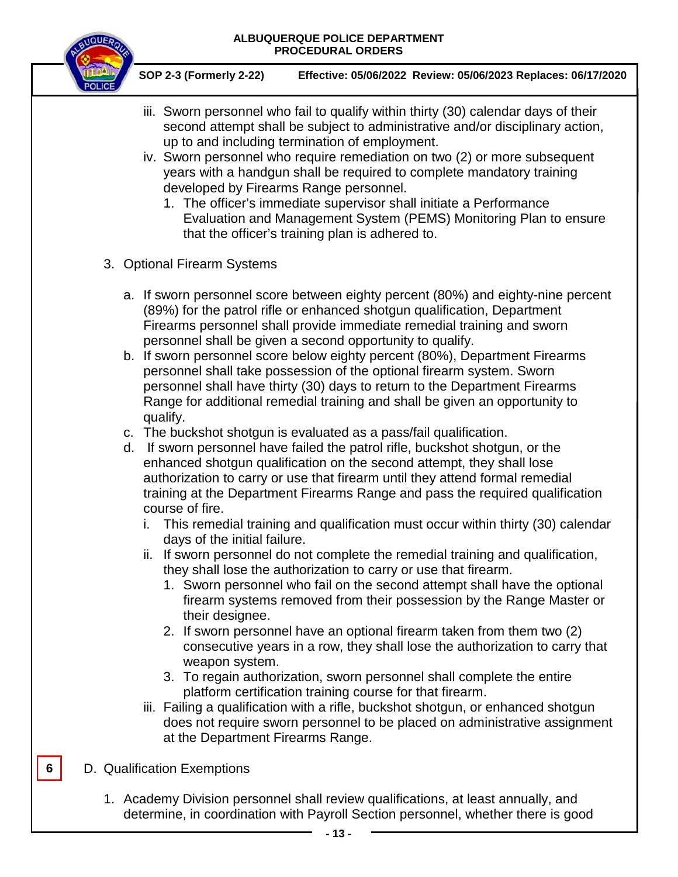![](_page_12_Picture_1.jpeg)

**SOP 2-3 (Formerly 2-22) Effective: 05/06/2022 Review: 05/06/2023 Replaces: 06/17/2020**

- iii. Sworn personnel who fail to qualify within thirty (30) calendar days of their second attempt shall be subject to administrative and/or disciplinary action, up to and including termination of employment.
- iv. Sworn personnel who require remediation on two (2) or more subsequent years with a handgun shall be required to complete mandatory training developed by Firearms Range personnel.
	- 1. The officer's immediate supervisor shall initiate a Performance Evaluation and Management System (PEMS) Monitoring Plan to ensure that the officer's training plan is adhered to.
- 3. Optional Firearm Systems
	- a. If sworn personnel score between eighty percent (80%) and eighty-nine percent (89%) for the patrol rifle or enhanced shotgun qualification, Department Firearms personnel shall provide immediate remedial training and sworn personnel shall be given a second opportunity to qualify.
	- b. If sworn personnel score below eighty percent (80%), Department Firearms personnel shall take possession of the optional firearm system. Sworn personnel shall have thirty (30) days to return to the Department Firearms Range for additional remedial training and shall be given an opportunity to qualify.
	- c. The buckshot shotgun is evaluated as a pass/fail qualification.
	- d. If sworn personnel have failed the patrol rifle, buckshot shotgun, or the enhanced shotgun qualification on the second attempt, they shall lose authorization to carry or use that firearm until they attend formal remedial training at the Department Firearms Range and pass the required qualification course of fire.
		- i. This remedial training and qualification must occur within thirty (30) calendar days of the initial failure.
		- ii. If sworn personnel do not complete the remedial training and qualification, they shall lose the authorization to carry or use that firearm.
			- 1. Sworn personnel who fail on the second attempt shall have the optional firearm systems removed from their possession by the Range Master or their designee.
			- 2. If sworn personnel have an optional firearm taken from them two (2) consecutive years in a row, they shall lose the authorization to carry that weapon system.
			- 3. To regain authorization, sworn personnel shall complete the entire platform certification training course for that firearm.
		- iii. Failing a qualification with a rifle, buckshot shotgun, or enhanced shotgun does not require sworn personnel to be placed on administrative assignment at the Department Firearms Range.
- D. Qualification Exemptions

**6**

1. Academy Division personnel shall review qualifications, at least annually, and determine, in coordination with Payroll Section personnel, whether there is good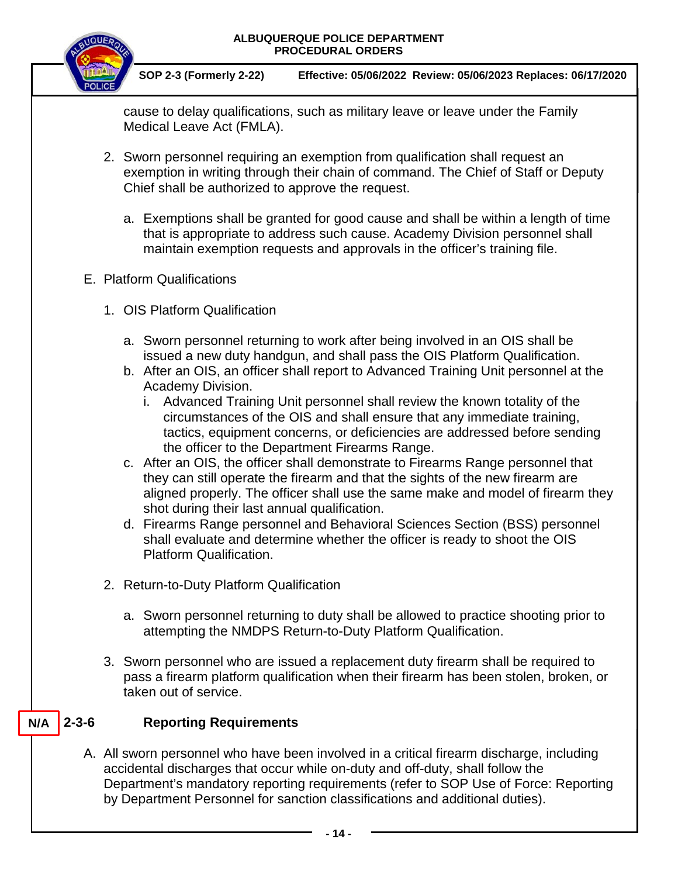![](_page_13_Picture_1.jpeg)

**SOP 2-3 (Formerly 2-22) Effective: 05/06/2022 Review: 05/06/2023 Replaces: 06/17/2020**

cause to delay qualifications, such as military leave or leave under the Family Medical Leave Act (FMLA).

- 2. Sworn personnel requiring an exemption from qualification shall request an exemption in writing through their chain of command. The Chief of Staff or Deputy Chief shall be authorized to approve the request.
	- a. Exemptions shall be granted for good cause and shall be within a length of time that is appropriate to address such cause. Academy Division personnel shall maintain exemption requests and approvals in the officer's training file.

### E. Platform Qualifications

- 1. OIS Platform Qualification
	- a. Sworn personnel returning to work after being involved in an OIS shall be issued a new duty handgun, and shall pass the OIS Platform Qualification.
	- b. After an OIS, an officer shall report to Advanced Training Unit personnel at the Academy Division.
		- i. Advanced Training Unit personnel shall review the known totality of the circumstances of the OIS and shall ensure that any immediate training, tactics, equipment concerns, or deficiencies are addressed before sending the officer to the Department Firearms Range.
	- c. After an OIS, the officer shall demonstrate to Firearms Range personnel that they can still operate the firearm and that the sights of the new firearm are aligned properly. The officer shall use the same make and model of firearm they shot during their last annual qualification.
	- d. Firearms Range personnel and Behavioral Sciences Section (BSS) personnel shall evaluate and determine whether the officer is ready to shoot the OIS Platform Qualification.
- 2. Return-to-Duty Platform Qualification
	- a. Sworn personnel returning to duty shall be allowed to practice shooting prior to attempting the NMDPS Return-to-Duty Platform Qualification.
- 3. Sworn personnel who are issued a replacement duty firearm shall be required to pass a firearm platform qualification when their firearm has been stolen, broken, or taken out of service.

#### **Reporting Requirements**  $N/A$  | 2-3-6

A. All sworn personnel who have been involved in a critical firearm discharge, including accidental discharges that occur while on-duty and off-duty, shall follow the Department's mandatory reporting requirements (refer to SOP Use of Force: Reporting by Department Personnel for sanction classifications and additional duties).